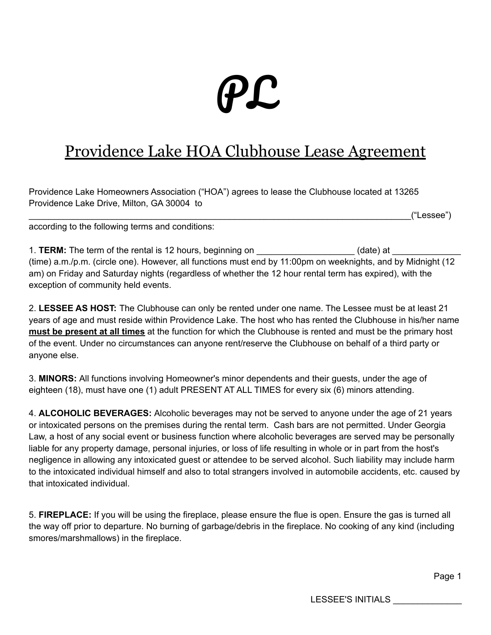# PL

# Providence Lake HOA Clubhouse Lease Agreement

Providence Lake Homeowners Association ("HOA") agrees to lease the Clubhouse located at 13265 Providence Lake Drive, Milton, GA 30004 to

 $\mathcal{L} = \mathcal{L} \left( \mathcal{L}^{\mathcal{L}} \mathcal{L}^{\mathcal{L}} \mathcal{L}^{\mathcal{L}} \mathcal{L}^{\mathcal{L}} \mathcal{L}^{\mathcal{L}} \mathcal{L}^{\mathcal{L}} \mathcal{L}^{\mathcal{L}} \mathcal{L}^{\mathcal{L}} \mathcal{L}^{\mathcal{L}} \mathcal{L}^{\mathcal{L}} \mathcal{L}^{\mathcal{L}} \mathcal{L}^{\mathcal{L}} \mathcal{L}^{\mathcal{L}} \mathcal{L}^{\mathcal{L}} \mathcal{L}^{\mathcal{L}} \mathcal{L}^{\math$ 

according to the following terms and conditions:

1. **TERM:** The term of the rental is 12 hours, beginning on \_\_\_\_\_\_\_\_\_\_\_\_\_\_\_\_\_\_\_\_\_(date) at \_\_ (time) a.m./p.m. (circle one). However, all functions must end by 11:00pm on weeknights, and by Midnight (12 am) on Friday and Saturday nights (regardless of whether the 12 hour rental term has expired), with the exception of community held events.

2. **LESSEE AS HOST:** The Clubhouse can only be rented under one name. The Lessee must be at least 21 years of age and must reside within Providence Lake. The host who has rented the Clubhouse in his/her name **must be present at all times** at the function for which the Clubhouse is rented and must be the primary host of the event. Under no circumstances can anyone rent/reserve the Clubhouse on behalf of a third party or anyone else.

3. **MINORS:** All functions involving Homeowner's minor dependents and their guests, under the age of eighteen (18), must have one (1) adult PRESENT AT ALL TIMES for every six (6) minors attending.

4. **ALCOHOLIC BEVERAGES:** Alcoholic beverages may not be served to anyone under the age of 21 years or intoxicated persons on the premises during the rental term. Cash bars are not permitted. Under Georgia Law, a host of any social event or business function where alcoholic beverages are served may be personally liable for any property damage, personal injuries, or loss of life resulting in whole or in part from the host's negligence in allowing any intoxicated guest or attendee to be served alcohol. Such liability may include harm to the intoxicated individual himself and also to total strangers involved in automobile accidents, etc. caused by that intoxicated individual.

5. **FIREPLACE:** If you will be using the fireplace, please ensure the flue is open. Ensure the gas is turned all the way off prior to departure. No burning of garbage/debris in the fireplace. No cooking of any kind (including smores/marshmallows) in the fireplace.

Page 1

LESSEE'S INITIALS \_\_\_\_\_\_\_\_\_\_\_\_\_\_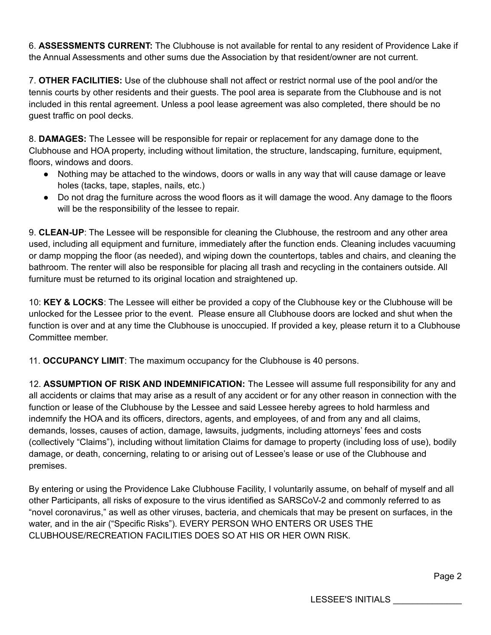6. **ASSESSMENTS CURRENT:** The Clubhouse is not available for rental to any resident of Providence Lake if the Annual Assessments and other sums due the Association by that resident/owner are not current.

7. **OTHER FACILITIES:** Use of the clubhouse shall not affect or restrict normal use of the pool and/or the tennis courts by other residents and their guests. The pool area is separate from the Clubhouse and is not included in this rental agreement. Unless a pool lease agreement was also completed, there should be no guest traffic on pool decks.

8. **DAMAGES:** The Lessee will be responsible for repair or replacement for any damage done to the Clubhouse and HOA property, including without limitation, the structure, landscaping, furniture, equipment, floors, windows and doors.

- Nothing may be attached to the windows, doors or walls in any way that will cause damage or leave holes (tacks, tape, staples, nails, etc.)
- Do not drag the furniture across the wood floors as it will damage the wood. Any damage to the floors will be the responsibility of the lessee to repair.

9. **CLEAN-UP**: The Lessee will be responsible for cleaning the Clubhouse, the restroom and any other area used, including all equipment and furniture, immediately after the function ends. Cleaning includes vacuuming or damp mopping the floor (as needed), and wiping down the countertops, tables and chairs, and cleaning the bathroom. The renter will also be responsible for placing all trash and recycling in the containers outside. All furniture must be returned to its original location and straightened up.

10: **KEY & LOCKS**: The Lessee will either be provided a copy of the Clubhouse key or the Clubhouse will be unlocked for the Lessee prior to the event. Please ensure all Clubhouse doors are locked and shut when the function is over and at any time the Clubhouse is unoccupied. If provided a key, please return it to a Clubhouse Committee member.

11. **OCCUPANCY LIMIT**: The maximum occupancy for the Clubhouse is 40 persons.

12. **ASSUMPTION OF RISK AND INDEMNIFICATION:** The Lessee will assume full responsibility for any and all accidents or claims that may arise as a result of any accident or for any other reason in connection with the function or lease of the Clubhouse by the Lessee and said Lessee hereby agrees to hold harmless and indemnify the HOA and its officers, directors, agents, and employees, of and from any and all claims, demands, losses, causes of action, damage, lawsuits, judgments, including attorneys' fees and costs (collectively "Claims"), including without limitation Claims for damage to property (including loss of use), bodily damage, or death, concerning, relating to or arising out of Lessee's lease or use of the Clubhouse and premises.

By entering or using the Providence Lake Clubhouse Facility, I voluntarily assume, on behalf of myself and all other Participants, all risks of exposure to the virus identified as SARSCoV-2 and commonly referred to as "novel coronavirus," as well as other viruses, bacteria, and chemicals that may be present on surfaces, in the water, and in the air ("Specific Risks"). EVERY PERSON WHO ENTERS OR USES THE CLUBHOUSE/RECREATION FACILITIES DOES SO AT HIS OR HER OWN RISK.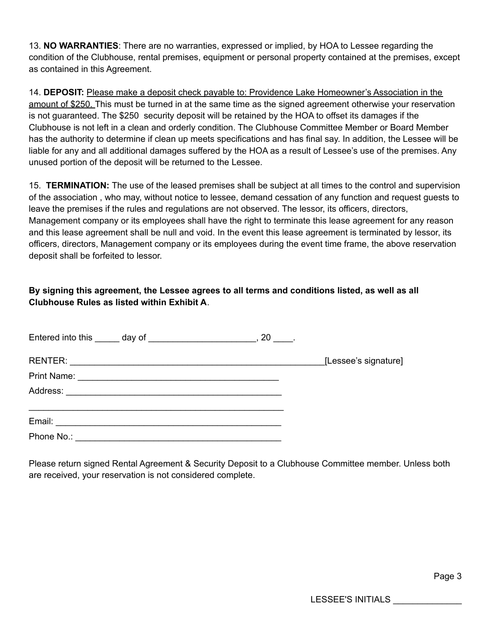13. **NO WARRANTIES**: There are no warranties, expressed or implied, by HOA to Lessee regarding the condition of the Clubhouse, rental premises, equipment or personal property contained at the premises, except as contained in this Agreement.

14. **DEPOSIT:** Please make a deposit check payable to: Providence Lake Homeowner's Association in the amount of \$250. This must be turned in at the same time as the signed agreement otherwise your reservation is not guaranteed. The \$250 security deposit will be retained by the HOA to offset its damages if the Clubhouse is not left in a clean and orderly condition. The Clubhouse Committee Member or Board Member has the authority to determine if clean up meets specifications and has final say. In addition, the Lessee will be liable for any and all additional damages suffered by the HOA as a result of Lessee's use of the premises. Any unused portion of the deposit will be returned to the Lessee.

15. **TERMINATION:** The use of the leased premises shall be subject at all times to the control and supervision of the association , who may, without notice to lessee, demand cessation of any function and request guests to leave the premises if the rules and regulations are not observed. The lessor, its officers, directors, Management company or its employees shall have the right to terminate this lease agreement for any reason and this lease agreement shall be null and void. In the event this lease agreement is terminated by lessor, its officers, directors, Management company or its employees during the event time frame, the above reservation deposit shall be forfeited to lessor.

#### **By signing this agreement, the Lessee agrees to all terms and conditions listed, as well as all Clubhouse Rules as listed within Exhibit A**.

|  | [Lessee's signature] |
|--|----------------------|
|  |                      |
|  |                      |
|  |                      |
|  |                      |
|  |                      |

Please return signed Rental Agreement & Security Deposit to a Clubhouse Committee member. Unless both are received, your reservation is not considered complete.